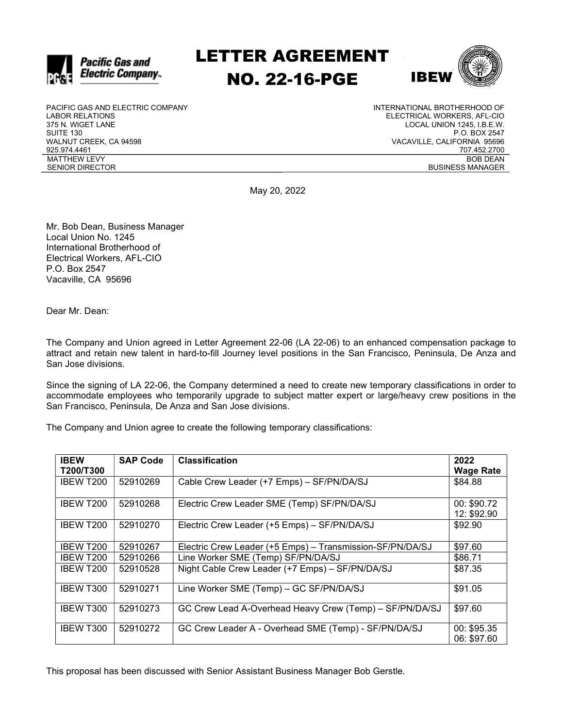

LETTER AGREEMENT NO. 22-16-PGE



PACIFIC GAS AND ELECTRIC COMPANY LABOR RELATIONS 375 N. WIGET LANE SUITE 130 WALNUT CREEK, CA 94598 925.974.4461 MATTHEW LEVY SENIOR DIRECTOR

INTERNATIONAL BROTHERHOOD OF ELECTRICAL WORKERS, AFL-CIO LOCAL UNION 1245, I.B.E.W. P.O. BOX 2547 VACAVILLE, CALIFORNIA 95696 707.452.2700 BOB DEAN BUSINESS MANAGER

May 20, 2022

Mr. Bob Dean, Business Manager Local Union No. 1245 International Brotherhood of Electrical Workers, AFL-CIO P.O. Box 2547 Vacaville, CA 95696

Dear Mr. Dean:

The Company and Union agreed in Letter Agreement 22-06 (LA 22-06) to an enhanced compensation package to attract and retain new talent in hard-to-fill Journey level positions in the San Francisco, Peninsula, De Anza and San Jose divisions.

Since the signing of LA 22-06, the Company determined a need to create new temporary classifications in order to accommodate employees who temporarily upgrade to subject matter expert or large/heavy crew positions in the San Francisco, Peninsula, De Anza and San Jose divisions.

The Company and Union agree to create the following temporary classifications:

| <b>IBEW</b><br>T200/T300 | <b>SAP Code</b> | <b>Classification</b>                                     | 2022<br><b>Wage Rate</b>   |
|--------------------------|-----------------|-----------------------------------------------------------|----------------------------|
| IBEW T200                | 52910269        | Cable Crew Leader (+7 Emps) - SF/PN/DA/SJ                 | \$84.88                    |
| IBEW T200                | 52910268        | Electric Crew Leader SME (Temp) SF/PN/DA/SJ               | 00: \$90.72<br>12: \$92.90 |
| IBEW T200                | 52910270        | Electric Crew Leader (+5 Emps) - SF/PN/DA/SJ              | \$92.90                    |
| <b>IBEW T200</b>         | 52910267        | Electric Crew Leader (+5 Emps) - Transmission-SF/PN/DA/SJ | \$97.60                    |
| IBEW T200                | 52910266        | Line Worker SME (Temp) SF/PN/DA/SJ                        | \$86.71                    |
| IBEW T200                | 52910528        | Night Cable Crew Leader (+7 Emps) - SF/PN/DA/SJ           | \$87.35                    |
| <b>IBEW T300</b>         | 52910271        | Line Worker SME (Temp) - GC SF/PN/DA/SJ                   | \$91.05                    |
| <b>IBEW T300</b>         | 52910273        | GC Crew Lead A-Overhead Heavy Crew (Temp) - SF/PN/DA/SJ   | \$97.60                    |
| IBEW T300                | 52910272        | GC Crew Leader A - Overhead SME (Temp) - SF/PN/DA/SJ      | 00: \$95.35<br>06: \$97.60 |

This proposal has been discussed with Senior Assistant Business Manager Bob Gerstle.